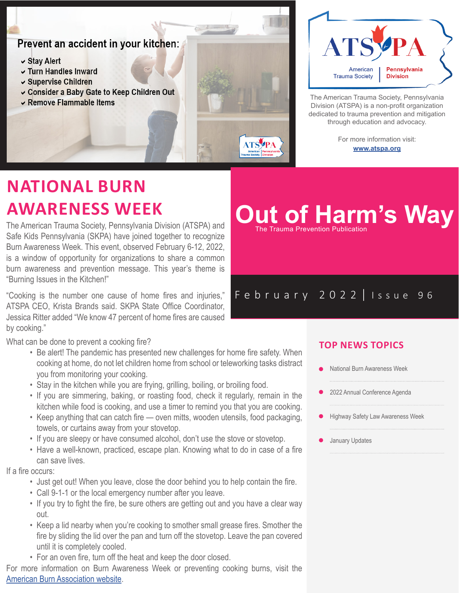## Prevent an accident in your kitchen:

- $\vee$  Stay Alert
- v Turn Handles Inward
- ► Supervise Children
- ► Consider a Baby Gate to Keep Children Out
- ► Remove Flammable Items



The American Trauma Society, Pennsylvania Division (ATSPA) is a non-profit organization dedicated to trauma prevention and mitigation through education and advocacy.

> For more information visit: **www.atspa.org**

# **NATIONAL BURN AWARENESS WEEK**

The American Trauma Society, Pennsylvania Division (ATSPA) and Safe Kids Pennsylvania (SKPA) have joined together to recognize Burn Awareness Week. This event, observed February 6-12, 2022, is a window of opportunity for organizations to share a common burn awareness and prevention message. This year's theme is "Burning Issues in the Kitchen!"

"Cooking is the number one cause of home fires and injuries," ATSPA CEO, Krista Brands said. SKPA State Office Coordinator, Jessica Ritter added "We know 47 percent of home fires are caused by cooking."

What can be done to prevent a cooking fire?

- Be alert! The pandemic has presented new challenges for home fire safety. When cooking at home, do not let children home from school or teleworking tasks distract you from monitoring your cooking.
- Stay in the kitchen while you are frying, grilling, boiling, or broiling food.
- If you are simmering, baking, or roasting food, check it regularly, remain in the kitchen while food is cooking, and use a timer to remind you that you are cooking.
- Keep anything that can catch fire oven mitts, wooden utensils, food packaging, towels, or curtains away from your stovetop.
- If you are sleepy or have consumed alcohol, don't use the stove or stovetop.
- Have a well-known, practiced, escape plan. Knowing what to do in case of a fire can save lives.

If a fire occurs:

- Just get out! When you leave, close the door behind you to help contain the fire.
- Call 9-1-1 or the local emergency number after you leave.
- If you try to fight the fire, be sure others are getting out and you have a clear way out.
- Keep a lid nearby when you're cooking to smother small grease fires. Smother the fire by sliding the lid over the pan and turn off the stovetop. Leave the pan covered until it is completely cooled.
- For an oven fire, turn off the heat and keep the door closed.

For more information on Burn Awareness Week or preventing cooking burns, visit the American Burn Association website.

### **TOP NEWS TOPICS**

**Out of Harm's Way** 

February 2022 | Issue 96

- National Burn Awareness Week
- 2022 Annual Conference Agenda
- Highway Safety Law Awareness Week
- January Updates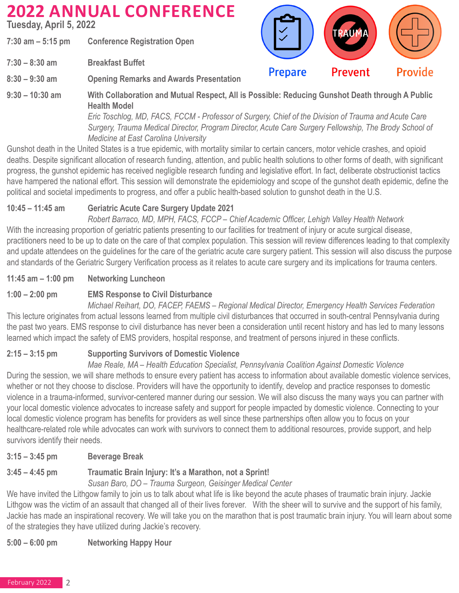# **2022 ANNUAL CONFERENCE**

**Tuesday, April 5, 2022**

**7:30 am – 5:15 pm Conference Registration Open** 

**7:30 – 8:30 am Breakfast Buffet** 

**8:30 – 9:30 am Opening Remarks and Awards Presentation**

**9:30 – 10:30 am With Collaboration and Mutual Respect, All is Possible: Reducing Gunshot Death through A Public Health Model**

 *Eric Toschlog, MD, FACS, FCCM - Professor of Surgery, Chief of the Division of Trauma and Acute Care Surgery, Trauma Medical Director, Program Director, Acute Care Surgery Fellowship, The Brody School of Medicine at East Carolina University*

**Prepare** 

Prevent

**Provide** 

Gunshot death in the United States is a true epidemic, with mortality similar to certain cancers, motor vehicle crashes, and opioid deaths. Despite significant allocation of research funding, attention, and public health solutions to other forms of death, with significant progress, the gunshot epidemic has received negligible research funding and legislative effort. In fact, deliberate obstructionist tactics have hampered the national effort. This session will demonstrate the epidemiology and scope of the gunshot death epidemic, define the political and societal impediments to progress, and offer a public health-based solution to gunshot death in the U.S.

### **10:45 – 11:45 am Geriatric Acute Care Surgery Update 2021**

 *Robert Barraco, MD, MPH, FACS, FCCP – Chief Academic Officer, Lehigh Valley Health Network* With the increasing proportion of geriatric patients presenting to our facilities for treatment of injury or acute surgical disease, practitioners need to be up to date on the care of that complex population. This session will review differences leading to that complexity and update attendees on the guidelines for the care of the geriatric acute care surgery patient. This session will also discuss the purpose and standards of the Geriatric Surgery Verification process as it relates to acute care surgery and its implications for trauma centers.

### **11:45 am – 1:00 pm Networking Luncheon**

## **1:00 – 2:00 pm EMS Response to Civil Disturbance**

 *Michael Reihart, DO, FACEP, FAEMS – Regional Medical Director, Emergency Health Services Federation* This lecture originates from actual lessons learned from multiple civil disturbances that occurred in south-central Pennsylvania during the past two years. EMS response to civil disturbance has never been a consideration until recent history and has led to many lessons learned which impact the safety of EMS providers, hospital response, and treatment of persons injured in these conflicts.

## **2:15 – 3:15 pm Supporting Survivors of Domestic Violence**

 *Mae Reale, MA – Health Education Specialist, Pennsylvania Coalition Against Domestic Violence* During the session, we will share methods to ensure every patient has access to information about available domestic violence services, whether or not they choose to disclose. Providers will have the opportunity to identify, develop and practice responses to domestic violence in a trauma-informed, survivor-centered manner during our session. We will also discuss the many ways you can partner with your local domestic violence advocates to increase safety and support for people impacted by domestic violence. Connecting to your local domestic violence program has benefits for providers as well since these partnerships often allow you to focus on your healthcare-related role while advocates can work with survivors to connect them to additional resources, provide support, and help survivors identify their needs.

**3:15 – 3:45 pm Beverage Break** 

## **3:45 – 4:45 pm Traumatic Brain Injury: It's a Marathon, not a Sprint!**

*Susan Baro, DO – Trauma Surgeon, Geisinger Medical Center*

We have invited the Lithgow family to join us to talk about what life is like beyond the acute phases of traumatic brain injury. Jackie Lithgow was the victim of an assault that changed all of their lives forever. With the sheer will to survive and the support of his family, Jackie has made an inspirational recovery. We will take you on the marathon that is post traumatic brain injury. You will learn about some of the strategies they have utilized during Jackie's recovery.

**5:00 – 6:00 pm Networking Happy Hour**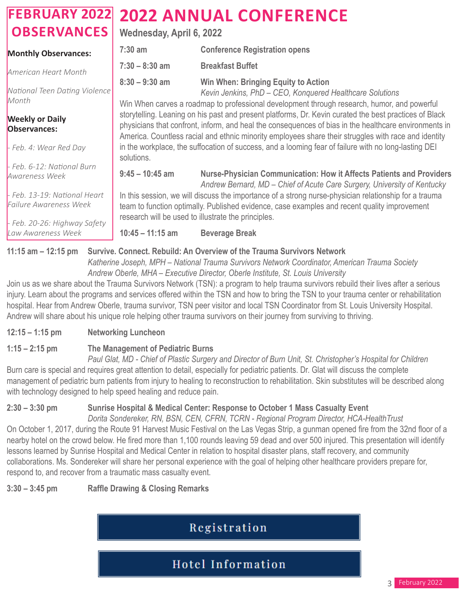#### **FEBRUARY 2022 OBSERVANCES Monthly Observances:**  *American Heart Month* **Wednesday, April 6, 2022 7:30 am Conference Registration opens 7:30 – 8:30 am Breakfast Buffet 2022 ANNUAL CONFERENCE**

*National Teen Dating Violence Month*

#### **Weekly or Daily Observances:**

*- Feb. 4: Wear Red Day*

*- Feb. 6-12: National Burn Awareness Week*

*- Feb. 13-19: National Heart Failure Awareness Week*

*- Feb. 20-26: Highway Safety Law Awareness Week*

**8:30 – 9:30 am Win When: Bringing Equity to Action**

 *Kevin Jenkins, PhD – CEO, Konquered Healthcare Solutions*

Win When carves a roadmap to professional development through research, humor, and powerful storytelling. Leaning on his past and present platforms, Dr. Kevin curated the best practices of Black physicians that confront, inform, and heal the consequences of bias in the healthcare environments in America. Countless racial and ethnic minority employees share their struggles with race and identity in the workplace, the suffocation of success, and a looming fear of failure with no long-lasting DEI solutions.

**9:45 – 10:45 am Nurse-Physician Communication: How it Affects Patients and Providers**

 *Andrew Bernard, MD – Chief of Acute Care Surgery, University of Kentucky* In this session, we will discuss the importance of a strong nurse-physician relationship for a trauma team to function optimally. Published evidence, case examples and recent quality improvement research will be used to illustrate the principles.

**10:45 – 11:15 am Beverage Break**

## **11:15 am – 12:15 pm Survive. Connect. Rebuild: An Overview of the Trauma Survivors Network**

 *Katherine Joseph, MPH – National Trauma Survivors Network Coordinator, American Trauma Society Andrew Oberle, MHA – Executive Director, Oberle Institute, St. Louis University*

Join us as we share about the Trauma Survivors Network (TSN): a program to help trauma survivors rebuild their lives after a serious injury. Learn about the programs and services offered within the TSN and how to bring the TSN to your trauma center or rehabilitation hospital. Hear from Andrew Oberle, trauma survivor, TSN peer visitor and local TSN Coordinator from St. Louis University Hospital. Andrew will share about his unique role helping other trauma survivors on their journey from surviving to thriving.

## **12:15 – 1:15 pm Networking Luncheon**

## **1:15 – 2:15 pm The Management of Pediatric Burns**

 *Paul Glat, MD - Chief of Plastic Surgery and Director of Burn Unit, St. Christopher's Hospital for Children* Burn care is special and requires great attention to detail, especially for pediatric patients. Dr. Glat will discuss the complete management of pediatric burn patients from injury to healing to reconstruction to rehabilitation. Skin substitutes will be described along with technology designed to help speed healing and reduce pain.

## **2:30 – 3:30 pm Sunrise Hospital & Medical Center: Response to October 1 Mass Casualty Event**

 *Dorita Sondereker, RN, BSN, CEN, CFRN, TCRN - Regional Program Director, HCA-HealthTrust* On October 1, 2017, during the Route 91 Harvest Music Festival on the Las Vegas Strip, a gunman opened fire from the 32nd floor of a nearby hotel on the crowd below. He fired more than 1,100 rounds leaving 59 dead and over 500 injured. This presentation will identify lessons learned by Sunrise Hospital and Medical Center in relation to hospital disaster plans, staff recovery, and community collaborations. Ms. Sondereker will share her personal experience with the goal of helping other healthcare providers prepare for, respond to, and recover from a traumatic mass casualty event.

**3:30 – 3:45 pm Raffle Drawing & Closing Remarks**

## Registration

Hotel Information